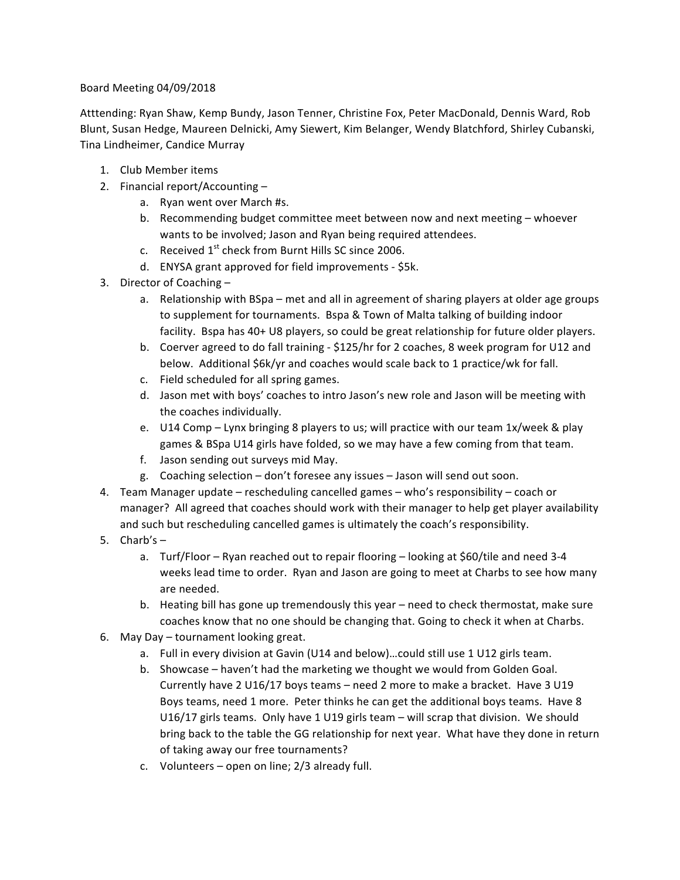## Board Meeting 04/09/2018

Atttending: Ryan Shaw, Kemp Bundy, Jason Tenner, Christine Fox, Peter MacDonald, Dennis Ward, Rob Blunt, Susan Hedge, Maureen Delnicki, Amy Siewert, Kim Belanger, Wendy Blatchford, Shirley Cubanski, Tina Lindheimer, Candice Murray

- 1. Club Member items
- 2. Financial report/Accounting  $$ 
	- a. Ryan went over March #s.
	- b. Recommending budget committee meet between now and next meeting whoever wants to be involved; Jason and Ryan being required attendees.
	- c. Received  $1^{st}$  check from Burnt Hills SC since 2006.
	- d. ENYSA grant approved for field improvements \$5k.
- 3. Director of Coaching  $$ 
	- a. Relationship with BSpa met and all in agreement of sharing players at older age groups to supplement for tournaments. Bspa & Town of Malta talking of building indoor facility. Bspa has 40+ U8 players, so could be great relationship for future older players.
	- b. Coerver agreed to do fall training \$125/hr for 2 coaches, 8 week program for U12 and below. Additional \$6k/yr and coaches would scale back to 1 practice/wk for fall.
	- c. Field scheduled for all spring games.
	- d. Jason met with boys' coaches to intro Jason's new role and Jason will be meeting with the coaches individually.
	- e. U14 Comp Lynx bringing 8 players to us; will practice with our team 1x/week & play games & BSpa U14 girls have folded, so we may have a few coming from that team.
	- f. Jason sending out surveys mid May.
	- g. Coaching selection don't foresee any issues Jason will send out soon.
- 4. Team Manager update rescheduling cancelled games who's responsibility coach or manager? All agreed that coaches should work with their manager to help get player availability and such but rescheduling cancelled games is ultimately the coach's responsibility.
- 5.  $Charb's$ 
	- a. Turf/Floor Ryan reached out to repair flooring looking at \$60/tile and need 3-4 weeks lead time to order. Ryan and Jason are going to meet at Charbs to see how many are needed.
	- b. Heating bill has gone up tremendously this year need to check thermostat, make sure coaches know that no one should be changing that. Going to check it when at Charbs.
- 6. May Day tournament looking great.
	- a. Full in every division at Gavin (U14 and below)...could still use 1 U12 girls team.
	- b. Showcase haven't had the marketing we thought we would from Golden Goal. Currently have 2  $U16/17$  boys teams – need 2 more to make a bracket. Have 3  $U19$ Boys teams, need 1 more. Peter thinks he can get the additional boys teams. Have 8 U16/17 girls teams. Only have 1 U19 girls team  $-$  will scrap that division. We should bring back to the table the GG relationship for next year. What have they done in return of taking away our free tournaments?
	- c. Volunteers  $-$  open on line;  $2/3$  already full.